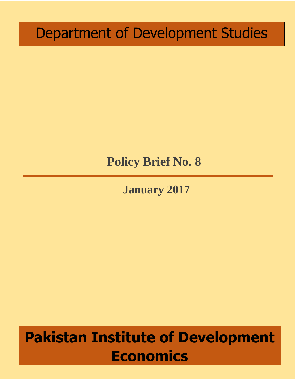# Department of Development Studies

# **Policy Brief No. 8**

**January 2017**

# **Pakistan Institute of Development Economics**